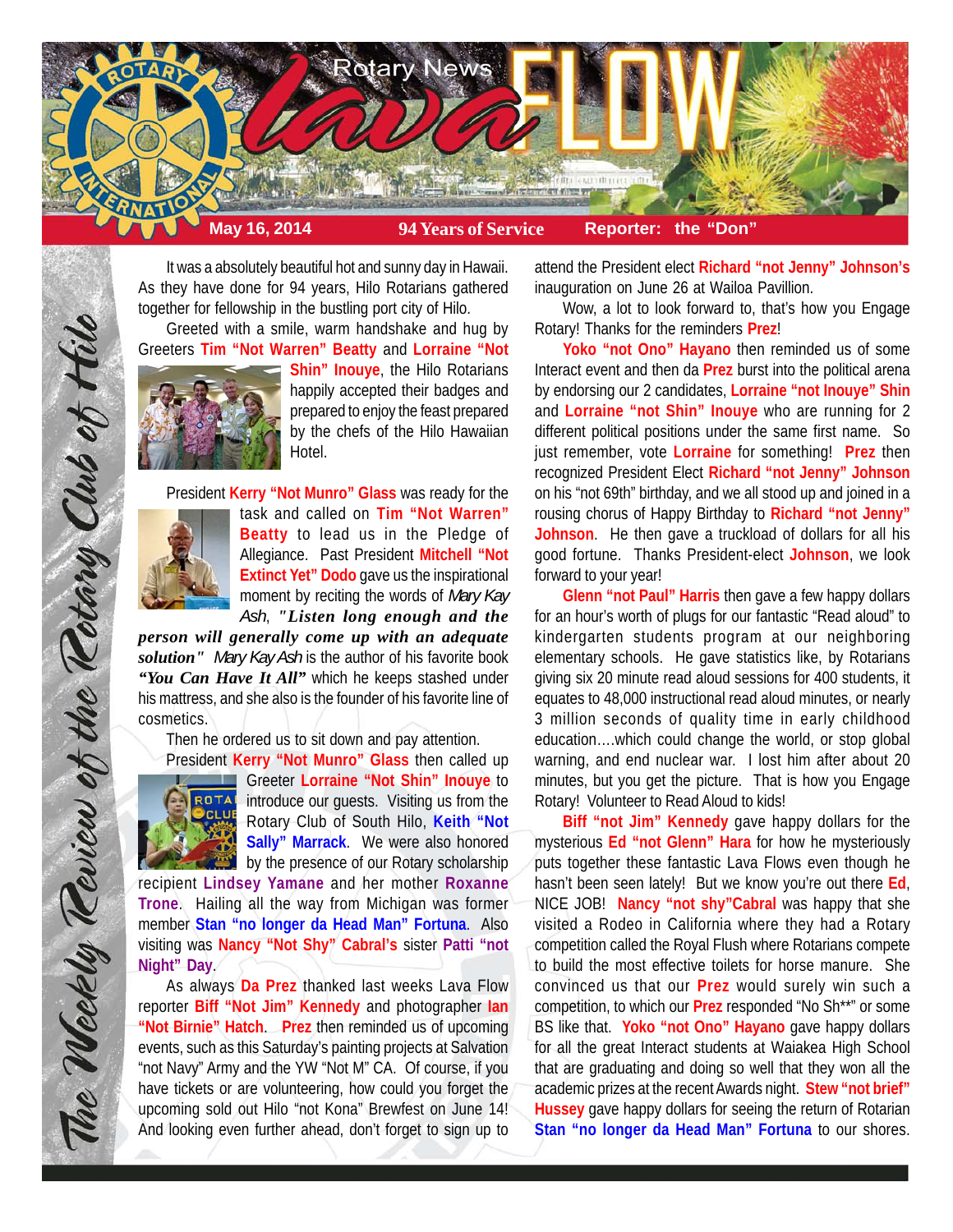

It was a absolutely beautiful hot and sunny day in Hawaii. As they have done for 94 years, Hilo Rotarians gathered together for fellowship in the bustling port city of Hilo.

Greeted with a smile, warm handshake and hug by Greeters **Tim "Not Warren" Beatty** and **Lorraine "Not**



**Shin" Inouye**, the Hilo Rotarians happily accepted their badges and prepared to enjoy the feast prepared by the chefs of the Hilo Hawaiian Hotel.

President **Kerry "Not Munro" Glass** was ready for the



task and called on **Tim "Not Warren" Beatty** to lead us in the Pledge of Allegiance. Past President **Mitchell "Not Extinct Yet" Dodo** gave us the inspirational moment by reciting the words of *Mary Kay Ash*, *"Listen long enough and the*

*person will generally come up with an adequate solution" Mary Kay Ash* is the author of his favorite book *"You Can Have It All"* which he keeps stashed under his mattress, and she also is the founder of his favorite line of cosmetics.

Then he ordered us to sit down and pay attention.



The Weekly Teview of the Tetary Club of Hilo

President **Kerry "Not Munro" Glass** then called up **Greeter Lorraine "Not Shin" Inouye** to **ROTAL** introduce our quests. Visiting us from the Rotary Club of South Hilo, **Keith "Not Sally" Marrack**. We were also honored by the presence of our Rotary scholarship

recipient **Lindsey Yamane** and her mother **Roxanne Trone**. Hailing all the way from Michigan was former member **Stan "no longer da Head Man" Fortuna**. Also visiting was **Nancy "Not Shy" Cabral's** sister **Patti "not Night" Day**.

As always **Da Prez** thanked last weeks Lava Flow reporter **Biff "Not Jim" Kennedy** and photographer **Ian "Not Birnie" Hatch**. **Prez** then reminded us of upcoming events, such as this Saturday's painting projects at Salvation "not Navy" Army and the YW "Not M" CA. Of course, if you have tickets or are volunteering, how could you forget the upcoming sold out Hilo "not Kona" Brewfest on June 14! And looking even further ahead, don't forget to sign up to

attend the President elect **Richard "not Jenny" Johnson's** inauguration on June 26 at Wailoa Pavillion.

Wow, a lot to look forward to, that's how you Engage Rotary! Thanks for the reminders **Prez**!

**Yoko "not Ono" Hayano** then reminded us of some Interact event and then da **Prez** burst into the political arena by endorsing our 2 candidates, **Lorraine "not Inouye" Shin** and **Lorraine "not Shin" Inouye** who are running for 2 different political positions under the same first name. So just remember, vote **Lorraine** for something! **Prez** then recognized President Elect **Richard "not Jenny" Johnson** on his "not 69th" birthday, and we all stood up and joined in a rousing chorus of Happy Birthday to **Richard "not Jenny" Johnson**. He then gave a truckload of dollars for all his good fortune. Thanks President-elect **Johnson**, we look forward to your year!

**Glenn "not Paul" Harris** then gave a few happy dollars for an hour's worth of plugs for our fantastic "Read aloud" to kindergarten students program at our neighboring elementary schools. He gave statistics like, by Rotarians giving six 20 minute read aloud sessions for 400 students, it equates to 48,000 instructional read aloud minutes, or nearly 3 million seconds of quality time in early childhood education….which could change the world, or stop global warning, and end nuclear war. I lost him after about 20 minutes, but you get the picture. That is how you Engage Rotary! Volunteer to Read Aloud to kids!

**Biff "not Jim" Kennedy** gave happy dollars for the mysterious **Ed "not Glenn" Hara** for how he mysteriously puts together these fantastic Lava Flows even though he hasn't been seen lately! But we know you're out there **Ed**, NICE JOB! **Nancy "not shy"Cabral** was happy that she visited a Rodeo in California where they had a Rotary competition called the Royal Flush where Rotarians compete to build the most effective toilets for horse manure. She convinced us that our **Prez** would surely win such a competition, to which our **Prez** responded "No Sh\*\*" or some BS like that. **Yoko "not Ono" Hayano** gave happy dollars for all the great Interact students at Waiakea High School that are graduating and doing so well that they won all the academic prizes at the recent Awards night. **Stew "not brief" Hussey** gave happy dollars for seeing the return of Rotarian **Stan "no longer da Head Man" Fortuna** to our shores.